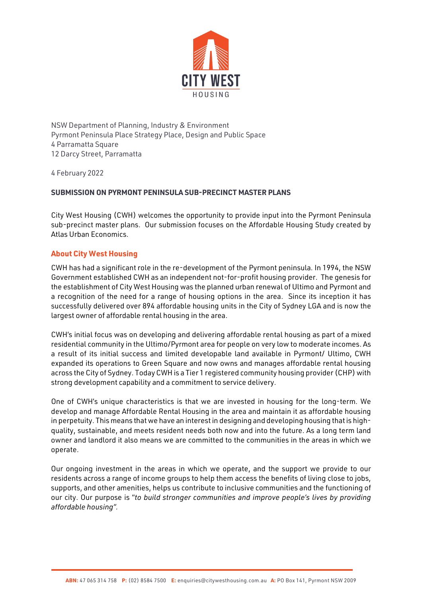

NSW Department of Planning, Industry & Environment Pyrmont Peninsula Place Strategy Place, Design and Public Space 4 Parramatta Square 12 Darcy Street, Parramatta

4 February 2022

# **SUBMISSION ON PYRMONT PENINSULA SUB-PRECINCT MASTER PLANS**

City West Housing (CWH) welcomes the opportunity to provide input into the Pyrmont Peninsula sub-precinct master plans. Our submission focuses on the Affordable Housing Study created by Atlas Urban Economics.

# **About City West Housing**

CWH has had a significant role in the re-development of the Pyrmont peninsula. In 1994, the NSW Government established CWH as an independent not-for-profit housing provider. The genesis for the establishment of City West Housing was the planned urban renewal of Ultimo and Pyrmont and a recognition of the need for a range of housing options in the area. Since its inception it has successfully delivered over 894 affordable housing units in the City of Sydney LGA and is now the largest owner of affordable rental housing in the area.

CWH's initial focus was on developing and delivering affordable rental housing as part of a mixed residential community in the Ultimo/Pyrmont area for people on very low to moderate incomes. As a result of its initial success and limited developable land available in Pyrmont/ Ultimo, CWH expanded its operations to Green Square and now owns and manages affordable rental housing across the City of Sydney. Today CWH is a Tier 1 registered community housing provider (CHP) with strong development capability and a commitment to service delivery.

One of CWH's unique characteristics is that we are invested in housing for the long-term. We develop and manage Affordable Rental Housing in the area and maintain it as affordable housing in perpetuity. This means that we have an interest in designing and developing housing that is highquality, sustainable, and meets resident needs both now and into the future. As a long term land owner and landlord it also means we are committed to the communities in the areas in which we operate.

Our ongoing investment in the areas in which we operate, and the support we provide to our residents across a range of income groups to help them access the benefits of living close to jobs, supports, and other amenities, helps us contribute to inclusive communities and the functioning of our city. Our purpose is "*to build stronger communities and improve people's lives by providing affordable housing".*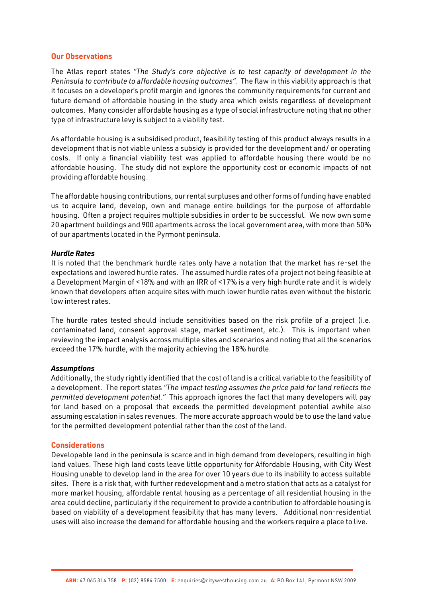### **Our Observations**

The Atlas report states *"The Study's core objective is to test capacity of development in the Peninsula to contribute to affordable housing outcomes".* The flaw in this viability approach is that it focuses on a developer's profit margin and ignores the community requirements for current and future demand of affordable housing in the study area which exists regardless of development outcomes. Many consider affordable housing as a type of social infrastructure noting that no other type of infrastructure levy is subject to a viability test.

As affordable housing is a subsidised product, feasibility testing of this product always results in a development that is not viable unless a subsidy is provided for the development and/ or operating costs. If only a financial viability test was applied to affordable housing there would be no affordable housing. The study did not explore the opportunity cost or economic impacts of not providing affordable housing.

The affordable housing contributions, our rental surpluses and other forms of funding have enabled us to acquire land, develop, own and manage entire buildings for the purpose of affordable housing. Often a project requires multiple subsidies in order to be successful. We now own some 20 apartment buildings and 900 apartments across the local government area, with more than 50% of our apartments located in the Pyrmont peninsula.

### *Hurdle Rates*

It is noted that the benchmark hurdle rates only have a notation that the market has re-set the expectations and lowered hurdle rates. The assumed hurdle rates of a project not being feasible at a Development Margin of <18% and with an IRR of <17% is a very high hurdle rate and it is widely known that developers often acquire sites with much lower hurdle rates even without the historic low interest rates.

The hurdle rates tested should include sensitivities based on the risk profile of a project (i.e. contaminated land, consent approval stage, market sentiment, etc.). This is important when reviewing the impact analysis across multiple sites and scenarios and noting that all the scenarios exceed the 17% hurdle, with the majority achieving the 18% hurdle.

#### *Assumptions*

Additionally, the study rightly identified that the cost of land is a critical variable to the feasibility of a development. The report states *"The impact testing assumes the price paid for land reflects the permitted development potential."* This approach ignores the fact that many developers will pay for land based on a proposal that exceeds the permitted development potential awhile also assuming escalation in sales revenues. The more accurate approach would be to use the land value for the permitted development potential rather than the cost of the land.

#### **Considerations**

Developable land in the peninsula is scarce and in high demand from developers, resulting in high land values. These high land costs leave little opportunity for Affordable Housing, with City West Housing unable to develop land in the area for over 10 years due to its inability to access suitable sites. There is a risk that, with further redevelopment and a metro station that acts as a catalyst for more market housing, affordable rental housing as a percentage of all residential housing in the area could decline, particularly if the requirement to provide a contribution to affordable housing is based on viability of a development feasibility that has many levers. Additional non-residential uses will also increase the demand for affordable housing and the workers require a place to live.